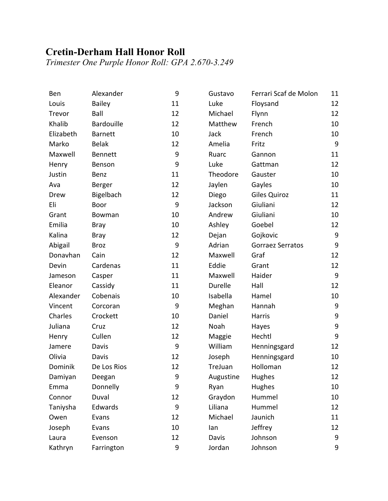## **Cretin-Derham Hall Honor Roll**

*Trimester One Purple Honor Roll: GPA 2.670-3.249*

| Ben       | Alexander         | 9  | Gustavo   | Ferrari Scaf de Molon   | 11               |
|-----------|-------------------|----|-----------|-------------------------|------------------|
| Louis     | <b>Bailey</b>     | 11 | Luke      | Floysand                | 12               |
| Trevor    | Ball              | 12 | Michael   | Flynn                   | 12               |
| Khalib    | <b>Bardouille</b> | 12 | Matthew   | French                  | 10               |
| Elizabeth | <b>Barnett</b>    | 10 | Jack      | French                  | 10               |
| Marko     | <b>Belak</b>      | 12 | Amelia    | Fritz                   | 9                |
| Maxwell   | <b>Bennett</b>    | 9  | Ruarc     | Gannon                  | 11               |
| Henry     | Benson            | 9  | Luke      | Gattman                 | 12               |
| Justin    | Benz              | 11 | Theodore  | Gauster                 | 10               |
| Ava       | Berger            | 12 | Jaylen    | Gayles                  | 10               |
| Drew      | Bigelbach         | 12 | Diego     | Giles Quiroz            | 11               |
| Eli       | Boor              | 9  | Jackson   | Giuliani                | 12               |
| Grant     | Bowman            | 10 | Andrew    | Giuliani                | 10               |
| Emilia    | <b>Bray</b>       | 10 | Ashley    | Goebel                  | 12               |
| Kalina    | <b>Bray</b>       | 12 | Dejan     | Gojkovic                | $\boldsymbol{9}$ |
| Abigail   | <b>Broz</b>       | 9  | Adrian    | <b>Gorraez Serratos</b> | $\boldsymbol{9}$ |
| Donavhan  | Cain              | 12 | Maxwell   | Graf                    | 12               |
| Devin     | Cardenas          | 11 | Eddie     | Grant                   | 12               |
| Jameson   | Casper            | 11 | Maxwell   | Haider                  | 9                |
| Eleanor   | Cassidy           | 11 | Durelle   | Hall                    | 12               |
| Alexander | Cobenais          | 10 | Isabella  | Hamel                   | 10               |
| Vincent   | Corcoran          | 9  | Meghan    | Hannah                  | $\boldsymbol{9}$ |
| Charles   | Crockett          | 10 | Daniel    | Harris                  | $\mathsf 9$      |
| Juliana   | Cruz              | 12 | Noah      | Hayes                   | $\boldsymbol{9}$ |
| Henry     | Cullen            | 12 | Maggie    | Hechtl                  | 9                |
| Jamere    | Davis             | 9  | William   | Henningsgard            | 12               |
| Olivia    | Davis             | 12 | Joseph    | Henningsgard            | 10               |
| Dominik   | De Los Rios       | 12 | TreJuan   | Holloman                | 12               |
| Damiyan   | Deegan            | 9  | Augustine | Hughes                  | 12               |
| Emma      | Donnelly          | 9  | Ryan      | Hughes                  | 10               |
| Connor    | Duval             | 12 | Graydon   | Hummel                  | 10               |
| Taniysha  | Edwards           | 9  | Liliana   | Hummel                  | 12               |
| Owen      | Evans             | 12 | Michael   | Jaunich                 | 11               |
| Joseph    | Evans             | 10 | lan       | Jeffrey                 | 12               |
| Laura     | Evenson           | 12 | Davis     | Johnson                 | 9                |
| Kathryn   | Farrington        | 9  | Jordan    | Johnson                 | 9                |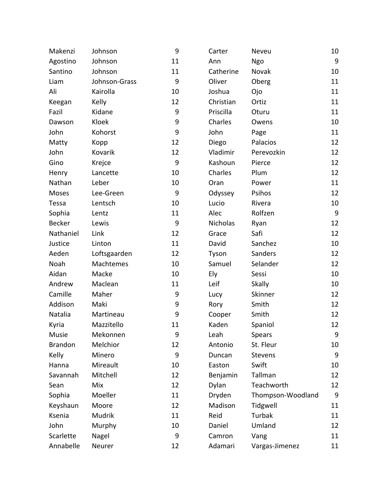| Makenzi        | Johnson       | 9  | Carter    | Neveu             | 10               |
|----------------|---------------|----|-----------|-------------------|------------------|
| Agostino       | Johnson       | 11 | Ann       | Ngo               | $\boldsymbol{9}$ |
| Santino        | Johnson       | 11 | Catherine | Novak             | 10               |
| Liam           | Johnson-Grass | 9  | Oliver    | Oberg             | 11               |
| Ali            | Kairolla      | 10 | Joshua    | Ojo               | 11               |
| Keegan         | Kelly         | 12 | Christian | Ortiz             | 11               |
| Fazil          | Kidane        | 9  | Priscilla | Oturu             | 11               |
| Dawson         | Kloek         | 9  | Charles   | Owens             | 10               |
| John           | Kohorst       | 9  | John      | Page              | 11               |
| Matty          | Kopp          | 12 | Diego     | Palacios          | 12               |
| John           | Kovarik       | 12 | Vladimir  | Perevozkin        | 12               |
| Gino           | Krejce        | 9  | Kashoun   | Pierce            | 12               |
| Henry          | Lancette      | 10 | Charles   | Plum              | 12               |
| Nathan         | Leber         | 10 | Oran      | Power             | 11               |
| Moses          | Lee-Green     | 9  | Odyssey   | Psihos            | 12               |
| Tessa          | Lentsch       | 10 | Lucio     | Rivera            | 10               |
| Sophia         | Lentz         | 11 | Alec      | Rolfzen           | $9\,$            |
| <b>Becker</b>  | Lewis         | 9  | Nicholas  | Ryan              | 12               |
| Nathaniel      | Link          | 12 | Grace     | Safi              | 12               |
| Justice        | Linton        | 11 | David     | Sanchez           | 10               |
| Aeden          | Loftsgaarden  | 12 | Tyson     | Sanders           | 12               |
| Noah           | Machtemes     | 10 | Samuel    | Selander          | 12               |
| Aidan          | Macke         | 10 | Ely       | Sessi             | 10               |
| Andrew         | Maclean       | 11 | Leif      | <b>Skally</b>     | 10               |
| Camille        | Maher         | 9  | Lucy      | Skinner           | 12               |
| Addison        | Maki          | 9  | Rory      | Smith             | 12               |
| Natalia        | Martineau     | 9  | Cooper    | Smith             | 12               |
| Kyria          | Mazzitello    | 11 | Kaden     | Spaniol           | 12               |
| Musie          | Mekonnen      | 9  | Leah      | <b>Spears</b>     | 9                |
| <b>Brandon</b> | Melchior      | 12 | Antonio   | St. Fleur         | 10               |
| Kelly          | Minero        | 9  | Duncan    | <b>Stevens</b>    | 9                |
| Hanna          | Mireault      | 10 | Easton    | Swift             | 10               |
| Savannah       | Mitchell      | 12 | Benjamin  | Tallman           | 12               |
| Sean           | Mix           | 12 | Dylan     | Teachworth        | 12               |
| Sophia         | Moeller       | 11 | Dryden    | Thompson-Woodland | 9                |
| Keyshaun       | Moore         | 12 | Madison   | Tidgwell          | 11               |
| Ksenia         | Mudrik        | 11 | Reid      | <b>Turbak</b>     | 11               |
| John           | Murphy        | 10 | Daniel    | Umland            | 12               |
| Scarlette      | Nagel         | 9  | Camron    | Vang              | 11               |
| Annabelle      | Neurer        | 12 | Adamari   | Vargas-Jimenez    | 11               |